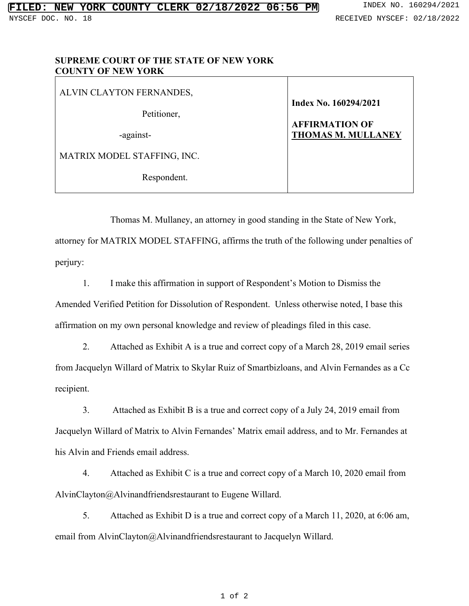## **SUPREME COURT OF THE STATE OF NEW YORK COUNTY OF NEW YORK**

ALVIN CLAYTON FERNANDES, Petitioner, -against-MATRIX MODEL STAFFING, INC. Respondent. **Index No. 160294/2021 AFFIRMATION OF THOMAS M. MULLANEY**

Thomas M. Mullaney, an attorney in good standing in the State of New York, attorney for MATRIX MODEL STAFFING, affirms the truth of the following under penalties of perjury:

1. I make this affirmation in support of Respondent's Motion to Dismiss the Amended Verified Petition for Dissolution of Respondent. Unless otherwise noted, I base this affirmation on my own personal knowledge and review of pleadings filed in this case.

2. Attached as Exhibit A is a true and correct copy of a March 28, 2019 email series from Jacquelyn Willard of Matrix to Skylar Ruiz of Smartbizloans, and Alvin Fernandes as a Cc recipient.

3. Attached as Exhibit B is a true and correct copy of a July 24, 2019 email from Jacquelyn Willard of Matrix to Alvin Fernandes' Matrix email address, and to Mr. Fernandes at his Alvin and Friends email address.

4. Attached as Exhibit C is a true and correct copy of a March 10, 2020 email from AlvinClayton@Alvinandfriendsrestaurant to Eugene Willard.

5. Attached as Exhibit D is a true and correct copy of a March 11, 2020, at 6:06 am, email from AlvinClayton@Alvinandfriendsrestaurant to Jacquelyn Willard.